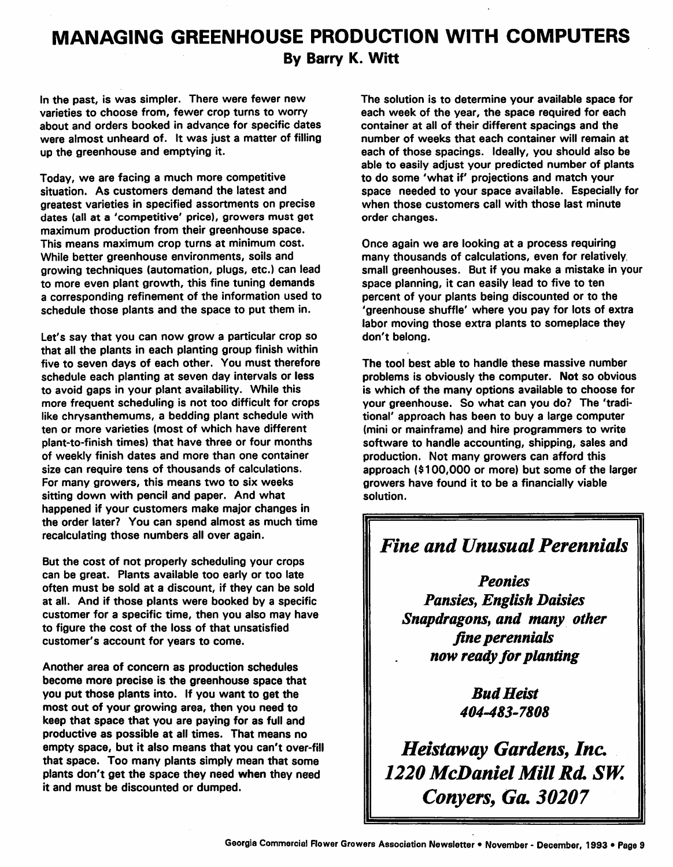## *MANAGING GREENHOUSE PRODUCTION WITH COMPUTERS By Barry K. Witt*

In the past, is was simpler. There were fewer new varieties to choose from, fewer crop turns to worry about and orders booked in advance for specific dates were almost unheard of. It was just a matter of filling up the greenhouse and emptying it.

Today, we are facing a much more competitive situation. As customers demand the latest and greatest varieties in specified assortments on precise dates (all at a 'competitive' price), growers must get maximum production from their greenhouse space. This means maximum crop turns at minimum cost. While better greenhouse environments, soils and growing techniques (automation, plugs, etc.) can lead to more even plant growth, this fine tuning demands a corresponding refinement of the information used to schedule those plants and the space to put them in.

Let's say that you can now grow a particular crop so that all the plants in each planting group finish within five to seven days of each other. You must therefore schedule each planting at seven day intervals or less to avoid gaps in your plant availability. While this more frequent scheduling is not too difficult for crops like chrysanthemums, a bedding plant schedule with ten or more varieties (most of which have different plant-to-finish times) that have three or four months of weekly finish dates and more than one container size can require tens of thousands of calculations. For many growers, this means two to six weeks sitting down with pencil and paper. And what happened if your customers make major changes in the order later? You can spend almost as much time recalculating those numbers all over again.

But the cost of not properly scheduling your crops can be great. Plants available too early or too late often must be sold at a discount, if they can be sold at all. And if those plants were booked by a specific customer for a specific time, then you also may have to figure the cost of the loss of that unsatisfied customer's account for years to come.

Another area of concern as production schedules become more precise is the greenhouse space that you put those plants into. If you want to get the most out of your growing area, then you need to keep that space that you are paying for as full and productive as possible at all times. That means no empty space, but it also means that you can't over-fill that space. Too many plants simply mean that some plants don't get the space they need *when* they need it and must be discounted or dumped.

The solution is to determine your available space for each week of the year, the space required for each container at all of their different spacings and the number of weeks that each container will remain at each of those spacings. Ideally, you should also be able to easily adjust your predicted number of plants to do some 'what if' projections and match your space needed to your space available. Especially for when those customers call with those last minute order changes.

Once again we are looking at a process requiring many thousands of calculations, even for relatively, small greenhouses. But if you make a mistake in your space planning, it can easily lead to five to ten percent of your plants being discounted or to the 'greenhouse shuffle' where you pay for lots of extra labor moving those extra plants to someplace they don't belong.

The tool best able to handle these massive number problems is obviously the computer. *Not* so obvious is which of the many options available to choose for your greenhouse. So what can you do? The 'tradi tional' approach has been to buy a large computer (mini or mainframe) and hire programmers to write software to handle accounting, shipping, sales and production. Not many growers can afford this approach (\$100,000 or more) but some of the larger growers have found it to be a financially viable solution.

## *Fine and Unusual Perennials*

*Peonies Pansies, English Daisies Snapdragons, and many other fine perennials now ready for planting*

> *Bud Heist 404-483-7808*

*Heistaway Gardens, Inc. 1220 McDaniel Mill Rd SW. Conyers, Go. 30207*